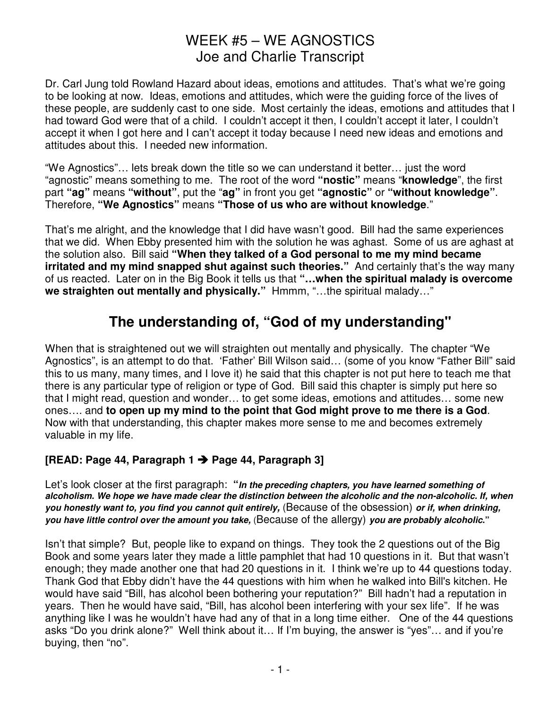Dr. Carl Jung told Rowland Hazard about ideas, emotions and attitudes. That's what we're going to be looking at now. Ideas, emotions and attitudes, which were the guiding force of the lives of these people, are suddenly cast to one side. Most certainly the ideas, emotions and attitudes that I had toward God were that of a child. I couldn't accept it then, I couldn't accept it later, I couldn't accept it when I got here and I can't accept it today because I need new ideas and emotions and attitudes about this. I needed new information.

"We Agnostics"… lets break down the title so we can understand it better… just the word "agnostic" means something to me. The root of the word **"nostic"** means "**knowledge**", the first part **"ag"** means **"without"**, put the "**ag"** in front you get **"agnostic"** or **"without knowledge"**. Therefore, **"We Agnostics"** means **"Those of us who are without knowledge**."

That's me alright, and the knowledge that I did have wasn't good. Bill had the same experiences that we did. When Ebby presented him with the solution he was aghast. Some of us are aghast at the solution also. Bill said **"When they talked of a God personal to me my mind became irritated and my mind snapped shut against such theories."** And certainly that's the way many of us reacted. Later on in the Big Book it tells us that **"…when the spiritual malady is overcome we straighten out mentally and physically."** Hmmm, "…the spiritual malady…"

# **The understanding of, "God of my understanding"**

When that is straightened out we will straighten out mentally and physically. The chapter "We Agnostics", is an attempt to do that. 'Father' Bill Wilson said… (some of you know "Father Bill" said this to us many, many times, and I love it) he said that this chapter is not put here to teach me that there is any particular type of religion or type of God. Bill said this chapter is simply put here so that I might read, question and wonder… to get some ideas, emotions and attitudes… some new ones…. and **to open up my mind to the point that God might prove to me there is a God**. Now with that understanding, this chapter makes more sense to me and becomes extremely valuable in my life.

### **[READ: Page 44, Paragraph 1 Page 44, Paragraph 3]**

Let's look closer at the first paragraph: **"In the preceding chapters, you have learned something of alcoholism. We hope we have made clear the distinction between the alcoholic and the non-alcoholic. If, when you honestly want to, you find you cannot quit entirely,** (Because of the obsession) **or if, when drinking, you have little control over the amount you take,** (Because of the allergy) **you are probably alcoholic."**

Isn't that simple? But, people like to expand on things. They took the 2 questions out of the Big Book and some years later they made a little pamphlet that had 10 questions in it. But that wasn't enough; they made another one that had 20 questions in it. I think we're up to 44 questions today. Thank God that Ebby didn't have the 44 questions with him when he walked into Bill's kitchen. He would have said "Bill, has alcohol been bothering your reputation?" Bill hadn't had a reputation in years. Then he would have said, "Bill, has alcohol been interfering with your sex life". If he was anything like I was he wouldn't have had any of that in a long time either. One of the 44 questions asks "Do you drink alone?" Well think about it… If I'm buying, the answer is "yes"… and if you're buying, then "no".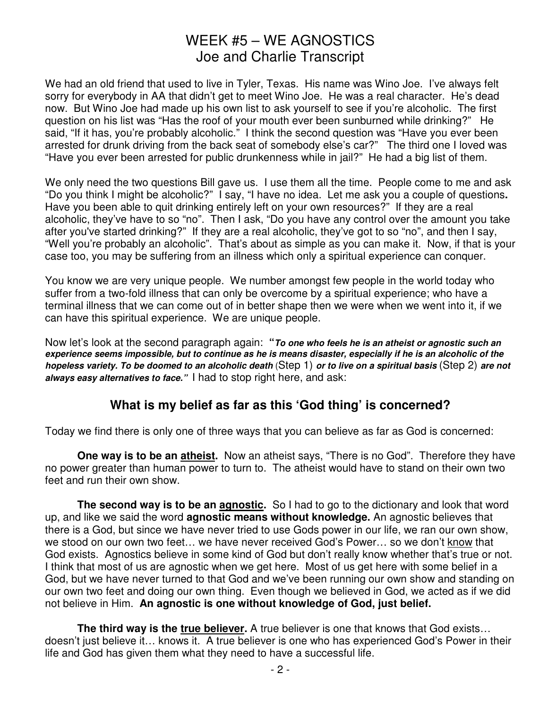We had an old friend that used to live in Tyler, Texas. His name was Wino Joe. I've always felt sorry for everybody in AA that didn't get to meet Wino Joe. He was a real character. He's dead now. But Wino Joe had made up his own list to ask yourself to see if you're alcoholic. The first question on his list was "Has the roof of your mouth ever been sunburned while drinking?" He said, "If it has, you're probably alcoholic." I think the second question was "Have you ever been arrested for drunk driving from the back seat of somebody else's car?" The third one I loved was "Have you ever been arrested for public drunkenness while in jail?" He had a big list of them.

We only need the two questions Bill gave us. I use them all the time. People come to me and ask "Do you think I might be alcoholic?" I say, "I have no idea. Let me ask you a couple of questions**.**  Have you been able to quit drinking entirely left on your own resources?" If they are a real alcoholic, they've have to so "no". Then I ask, "Do you have any control over the amount you take after you've started drinking?" If they are a real alcoholic, they've got to so "no", and then I say, "Well you're probably an alcoholic". That's about as simple as you can make it. Now, if that is your case too, you may be suffering from an illness which only a spiritual experience can conquer.

You know we are very unique people. We number amongst few people in the world today who suffer from a two-fold illness that can only be overcome by a spiritual experience; who have a terminal illness that we can come out of in better shape then we were when we went into it, if we can have this spiritual experience. We are unique people.

Now let's look at the second paragraph again: **"To one who feels he is an atheist or agnostic such an experience seems impossible, but to continue as he is means disaster, especially if he is an alcoholic of the hopeless variety. To be doomed to an alcoholic death** (Step 1) **or to live on a spiritual basis** (Step 2) **are not always easy alternatives to face."** I had to stop right here, and ask:

### **What is my belief as far as this 'God thing' is concerned?**

Today we find there is only one of three ways that you can believe as far as God is concerned:

**One way is to be an atheist.** Now an atheist says, "There is no God". Therefore they have no power greater than human power to turn to. The atheist would have to stand on their own two feet and run their own show.

**The second way is to be an agnostic.** So I had to go to the dictionary and look that word up, and like we said the word **agnostic means without knowledge.** An agnostic believes that there is a God, but since we have never tried to use Gods power in our life, we ran our own show, we stood on our own two feet… we have never received God's Power… so we don't know that God exists. Agnostics believe in some kind of God but don't really know whether that's true or not. I think that most of us are agnostic when we get here. Most of us get here with some belief in a God, but we have never turned to that God and we've been running our own show and standing on our own two feet and doing our own thing. Even though we believed in God, we acted as if we did not believe in Him. **An agnostic is one without knowledge of God, just belief.**

**The third way is the true believer.** A true believer is one that knows that God exists... doesn't just believe it… knows it. A true believer is one who has experienced God's Power in their life and God has given them what they need to have a successful life.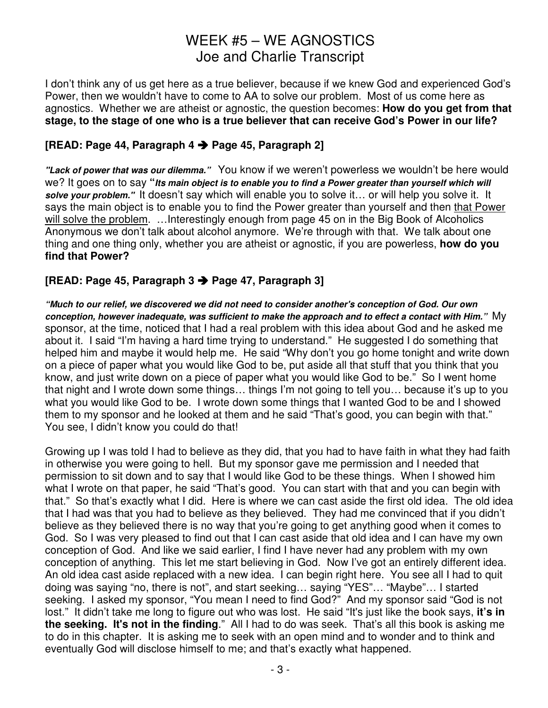I don't think any of us get here as a true believer, because if we knew God and experienced God's Power, then we wouldn't have to come to AA to solve our problem. Most of us come here as agnostics. Whether we are atheist or agnostic, the question becomes: **How do you get from that stage, to the stage of one who is a true believer that can receive God's Power in our life?**

### **[READ: Page 44, Paragraph 4 Page 45, Paragraph 2]**

**"Lack of power that was our dilemma."** You know if we weren't powerless we wouldn't be here would we? It goes on to say **"Its main object is to enable you to find a Power greater than yourself which will solve your problem."** It doesn't say which will enable you to solve it… or will help you solve it. It says the main object is to enable you to find the Power greater than yourself and then that Power will solve the problem. ... Interestingly enough from page 45 on in the Big Book of Alcoholics Anonymous we don't talk about alcohol anymore. We're through with that. We talk about one thing and one thing only, whether you are atheist or agnostic, if you are powerless, **how do you find that Power?** 

#### **[READ: Page 45, Paragraph 3 Page 47, Paragraph 3]**

**"Much to our relief, we discovered we did not need to consider another's conception of God. Our own conception, however inadequate, was sufficient to make the approach and to effect a contact with Him."** My sponsor, at the time, noticed that I had a real problem with this idea about God and he asked me about it. I said "I'm having a hard time trying to understand." He suggested I do something that helped him and maybe it would help me. He said "Why don't you go home tonight and write down on a piece of paper what you would like God to be, put aside all that stuff that you think that you know, and just write down on a piece of paper what you would like God to be." So I went home that night and I wrote down some things… things I'm not going to tell you… because it's up to you what you would like God to be. I wrote down some things that I wanted God to be and I showed them to my sponsor and he looked at them and he said "That's good, you can begin with that." You see, I didn't know you could do that!

Growing up I was told I had to believe as they did, that you had to have faith in what they had faith in otherwise you were going to hell. But my sponsor gave me permission and I needed that permission to sit down and to say that I would like God to be these things. When I showed him what I wrote on that paper, he said "That's good. You can start with that and you can begin with that." So that's exactly what I did. Here is where we can cast aside the first old idea. The old idea that I had was that you had to believe as they believed. They had me convinced that if you didn't believe as they believed there is no way that you're going to get anything good when it comes to God. So I was very pleased to find out that I can cast aside that old idea and I can have my own conception of God. And like we said earlier, I find I have never had any problem with my own conception of anything. This let me start believing in God. Now I've got an entirely different idea. An old idea cast aside replaced with a new idea. I can begin right here. You see all I had to quit doing was saying "no, there is not", and start seeking… saying "YES"… "Maybe"… I started seeking. I asked my sponsor, "You mean I need to find God?" And my sponsor said "God is not lost." It didn't take me long to figure out who was lost. He said "It's just like the book says, it's in **the seeking. It's not in the finding**." All I had to do was seek. That's all this book is asking me to do in this chapter. It is asking me to seek with an open mind and to wonder and to think and eventually God will disclose himself to me; and that's exactly what happened.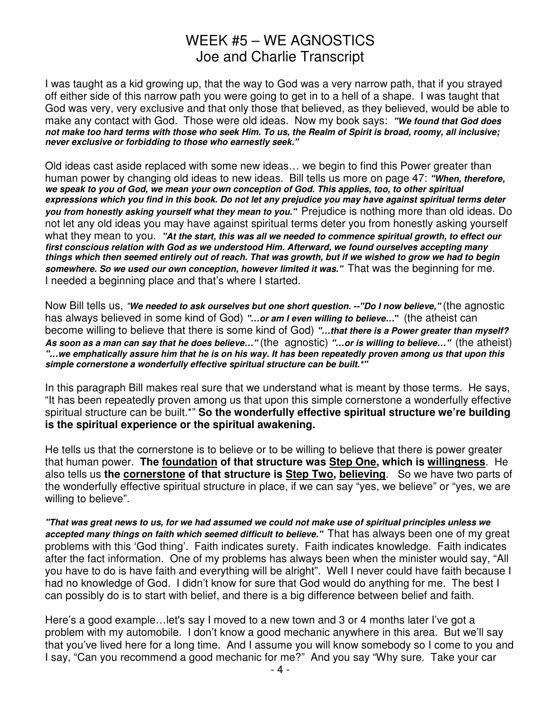I was taught as a kid growing up, that the way to God was a very narrow path, that if you strayed off either side of this narrow path you were going to get in to a hell of a shape. I was taught that God was very, very exclusive and that only those that believed, as they believed, would be able to make any contact with God. Those were old ideas. Now my book says: **"We found that God does not make too hard terms with those who seek Him. To us, the Realm of Spirit is broad, roomy, all inclusive; never exclusive or forbidding to those who earnestly seek."**

Old ideas cast aside replaced with some new ideas… we begin to find this Power greater than human power by changing old ideas to new ideas. Bill tells us more on page 47: **"When, therefore, we speak to you of God, we mean your own conception of God. This applies, too, to other spiritual expressions which you find in this book. Do not let any prejudice you may have against spiritual terms deter you from honestly asking yourself what they mean to you."** Prejudice is nothing more than old ideas. Do not let any old ideas you may have against spiritual terms deter you from honestly asking yourself what they mean to you. **"At the start, this was all we needed to commence spiritual growth, to effect our first conscious relation with God as we understood Him. Afterward, we found ourselves accepting many things which then seemed entirely out of reach. That was growth, but if we wished to grow we had to begin somewhere. So we used our own conception, however limited it was."** That was the beginning for me. I needed a beginning place and that's where I started.

Now Bill tells us, "**We needed to ask ourselves but one short question. --"Do I now believe,"** (the agnostic has always believed in some kind of God) **"…or am I even willing to believe…"** (the atheist can become willing to believe that there is some kind of God) **"…that there is a Power greater than myself? As soon as a man can say that he does believe…"** (the agnostic) **"…or is willing to believe…"** (the atheist) **"…we emphatically assure him that he is on his way. It has been repeatedly proven among us that upon this simple cornerstone a wonderfully effective spiritual structure can be built.\*"** 

In this paragraph Bill makes real sure that we understand what is meant by those terms. He says, "It has been repeatedly proven among us that upon this simple cornerstone a wonderfully effective spiritual structure can be built.\*" **So the wonderfully effective spiritual structure we're building is the spiritual experience or the spiritual awakening.**

He tells us that the cornerstone is to believe or to be willing to believe that there is power greater that human power. **The foundation of that structure was Step One, which is willingness**. He also tells us **the cornerstone of that structure is Step Two, believing**. So we have two parts of the wonderfully effective spiritual structure in place, if we can say "yes, we believe" or "yes, we are willing to believe".

**"That was great news to us, for we had assumed we could not make use of spiritual principles unless we accepted many things on faith which seemed difficult to believe."** That has always been one of my great problems with this 'God thing'. Faith indicates surety. Faith indicates knowledge. Faith indicates after the fact information. One of my problems has always been when the minister would say, "All you have to do is have faith and everything will be alright". Well I never could have faith because I had no knowledge of God. I didn't know for sure that God would do anything for me. The best I can possibly do is to start with belief, and there is a big difference between belief and faith.

Here's a good example…let's say I moved to a new town and 3 or 4 months later I've got a problem with my automobile. I don't know a good mechanic anywhere in this area. But we'll say that you've lived here for a long time. And I assume you will know somebody so I come to you and I say, "Can you recommend a good mechanic for me?" And you say "Why sure. Take your car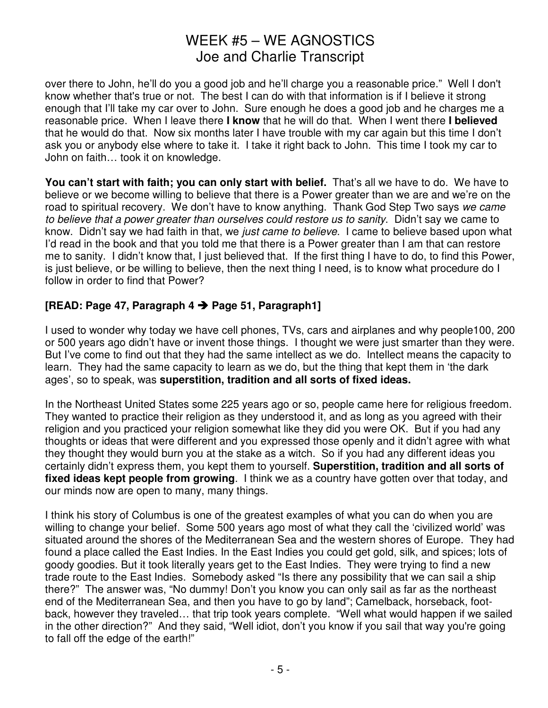over there to John, he'll do you a good job and he'll charge you a reasonable price." Well I don't know whether that's true or not. The best I can do with that information is if I believe it strong enough that I'll take my car over to John. Sure enough he does a good job and he charges me a reasonable price. When I leave there **I know** that he will do that. When I went there **I believed** that he would do that. Now six months later I have trouble with my car again but this time I don't ask you or anybody else where to take it. I take it right back to John. This time I took my car to John on faith… took it on knowledge.

You can't start with faith; you can only start with belief. That's all we have to do. We have to believe or we become willing to believe that there is a Power greater than we are and we're on the road to spiritual recovery. We don't have to know anything. Thank God Step Two says we came to believe that a power greater than ourselves could restore us to sanity. Didn't say we came to know. Didn't say we had faith in that, we just came to believe. I came to believe based upon what I'd read in the book and that you told me that there is a Power greater than I am that can restore me to sanity. I didn't know that, I just believed that. If the first thing I have to do, to find this Power, is iust believe, or be willing to believe, then the next thing I need, is to know what procedure do I follow in order to find that Power?

### **[READ: Page 47, Paragraph 4 Page 51, Paragraph1]**

I used to wonder why today we have cell phones, TVs, cars and airplanes and why people100, 200 or 500 years ago didn't have or invent those things. I thought we were just smarter than they were. But I've come to find out that they had the same intellect as we do. Intellect means the capacity to learn. They had the same capacity to learn as we do, but the thing that kept them in 'the dark ages', so to speak, was **superstition, tradition and all sorts of fixed ideas.** 

In the Northeast United States some 225 years ago or so, people came here for religious freedom. They wanted to practice their religion as they understood it, and as long as you agreed with their religion and you practiced your religion somewhat like they did you were OK. But if you had any thoughts or ideas that were different and you expressed those openly and it didn't agree with what they thought they would burn you at the stake as a witch. So if you had any different ideas you certainly didn't express them, you kept them to yourself. **Superstition, tradition and all sorts of fixed ideas kept people from growing**. I think we as a country have gotten over that today, and our minds now are open to many, many things.

I think his story of Columbus is one of the greatest examples of what you can do when you are willing to change your belief. Some 500 years ago most of what they call the 'civilized world' was situated around the shores of the Mediterranean Sea and the western shores of Europe. They had found a place called the East Indies. In the East Indies you could get gold, silk, and spices; lots of goody goodies. But it took literally years get to the East Indies. They were trying to find a new trade route to the East Indies. Somebody asked "Is there any possibility that we can sail a ship there?" The answer was, "No dummy! Don't you know you can only sail as far as the northeast end of the Mediterranean Sea, and then you have to go by land"; Camelback, horseback, footback, however they traveled… that trip took years complete. "Well what would happen if we sailed in the other direction?" And they said, "Well idiot, don't you know if you sail that way you're going to fall off the edge of the earth!"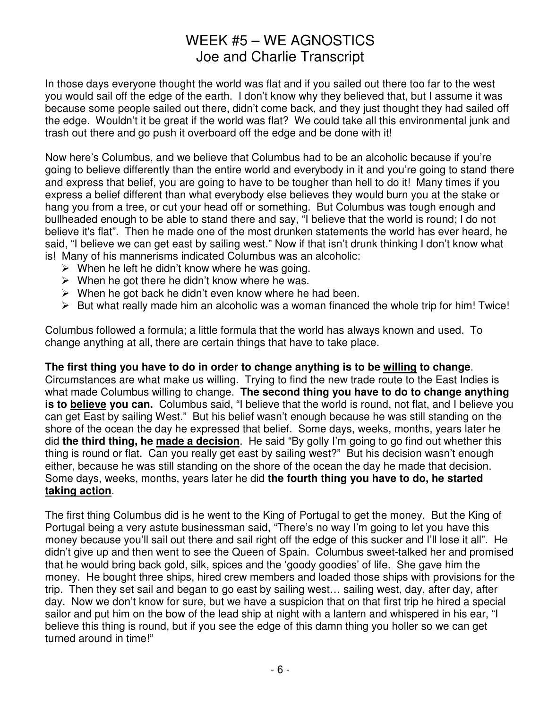In those days everyone thought the world was flat and if you sailed out there too far to the west you would sail off the edge of the earth. I don't know why they believed that, but I assume it was because some people sailed out there, didn't come back, and they just thought they had sailed off the edge. Wouldn't it be great if the world was flat? We could take all this environmental junk and trash out there and go push it overboard off the edge and be done with it!

Now here's Columbus, and we believe that Columbus had to be an alcoholic because if you're going to believe differently than the entire world and everybody in it and you're going to stand there and express that belief, you are going to have to be tougher than hell to do it! Many times if you express a belief different than what everybody else believes they would burn you at the stake or hang you from a tree, or cut your head off or something. But Columbus was tough enough and bullheaded enough to be able to stand there and say, "I believe that the world is round; I do not believe it's flat". Then he made one of the most drunken statements the world has ever heard, he said, "I believe we can get east by sailing west." Now if that isn't drunk thinking I don't know what is! Many of his mannerisms indicated Columbus was an alcoholic:

- $\triangleright$  When he left he didn't know where he was going.
- > When he got there he didn't know where he was.
- > When he got back he didn't even know where he had been.
- > But what really made him an alcoholic was a woman financed the whole trip for him! Twice!

Columbus followed a formula; a little formula that the world has always known and used. To change anything at all, there are certain things that have to take place.

#### **The first thing you have to do in order to change anything is to be willing to change**.

Circumstances are what make us willing. Trying to find the new trade route to the East Indies is what made Columbus willing to change. **The second thing you have to do to change anything is to believe you can.** Columbus said, "I believe that the world is round, not flat, and I believe you can get East by sailing West." But his belief wasn't enough because he was still standing on the shore of the ocean the day he expressed that belief. Some days, weeks, months, years later he did **the third thing, he made a decision**. He said "By golly I'm going to go find out whether this thing is round or flat. Can you really get east by sailing west?" But his decision wasn't enough either, because he was still standing on the shore of the ocean the day he made that decision. Some days, weeks, months, years later he did **the fourth thing you have to do, he started taking action**.

The first thing Columbus did is he went to the King of Portugal to get the money. But the King of Portugal being a very astute businessman said, "There's no way I'm going to let you have this money because you'll sail out there and sail right off the edge of this sucker and I'll lose it all". He didn't give up and then went to see the Queen of Spain. Columbus sweet-talked her and promised that he would bring back gold, silk, spices and the 'goody goodies' of life. She gave him the money. He bought three ships, hired crew members and loaded those ships with provisions for the trip. Then they set sail and began to go east by sailing west… sailing west, day, after day, after day. Now we don't know for sure, but we have a suspicion that on that first trip he hired a special sailor and put him on the bow of the lead ship at night with a lantern and whispered in his ear, "I believe this thing is round, but if you see the edge of this damn thing you holler so we can get turned around in time!"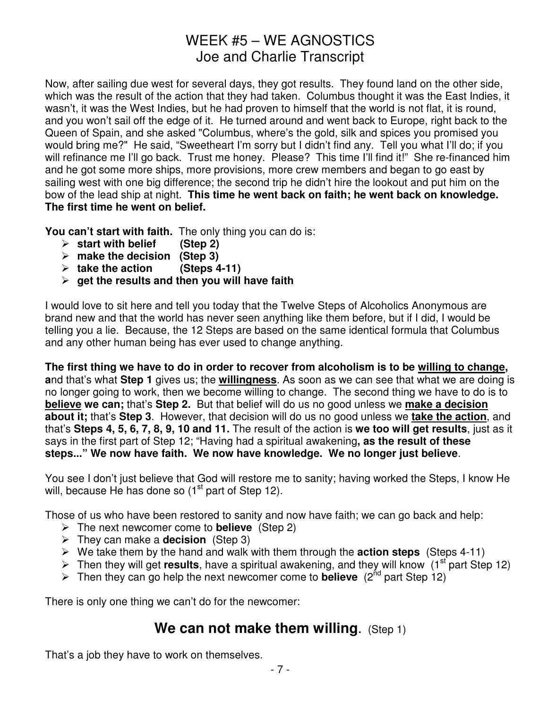Now, after sailing due west for several days, they got results. They found land on the other side, which was the result of the action that they had taken. Columbus thought it was the East Indies, it wasn't, it was the West Indies, but he had proven to himself that the world is not flat, it is round, and you won't sail off the edge of it. He turned around and went back to Europe, right back to the Queen of Spain, and she asked "Columbus, where's the gold, silk and spices you promised you would bring me?" He said, "Sweetheart I'm sorry but I didn't find any. Tell you what I'll do; if you will refinance me I'll go back. Trust me honey. Please? This time I'll find it!" She re-financed him and he got some more ships, more provisions, more crew members and began to go east by sailing west with one big difference; the second trip he didn't hire the lookout and put him on the bow of the lead ship at night. **This time he went back on faith; he went back on knowledge. The first time he went on belief.** 

**You can't start with faith.** The only thing you can do is:

- **start with belief (Step 2)**
- **make the decision (Step 3)**
- **take the action (Steps 4-11)**
- **get the results and then you will have faith**

I would love to sit here and tell you today that the Twelve Steps of Alcoholics Anonymous are brand new and that the world has never seen anything like them before, but if I did, I would be telling you a lie. Because, the 12 Steps are based on the same identical formula that Columbus and any other human being has ever used to change anything.

**The first thing we have to do in order to recover from alcoholism is to be willing to change, a**nd that's what **Step 1** gives us; the **willingness**. As soon as we can see that what we are doing is no longer going to work, then we become willing to change. The second thing we have to do is to **believe we can;** that's **Step 2.** But that belief will do us no good unless we **make a decision about it;** that's **Step 3**. However, that decision will do us no good unless we **take the action**, and that's **Steps 4, 5, 6, 7, 8, 9, 10 and 11.** The result of the action is **we too will get results**, just as it says in the first part of Step 12; "Having had a spiritual awakening**, as the result of these steps..." We now have faith. We now have knowledge. We no longer just believe**.

You see I don't just believe that God will restore me to sanity; having worked the Steps, I know He will, because He has done so (1<sup>st</sup> part of Step 12).

Those of us who have been restored to sanity and now have faith; we can go back and help:

- The next newcomer come to **believe** (Step 2)
- > They can make a **decision** (Step 3)
- > We take them by the hand and walk with them through the **action steps** (Steps 4-11)
- > Then they will get **results**, have a spiritual awakening, and they will know (1<sup>st</sup> part Step 12)
- > Then they can go help the next newcomer come to **believe** (2<sup>nd</sup> part Step 12)

There is only one thing we can't do for the newcomer:

## **We can not make them willing.** (Step 1)

That's a job they have to work on themselves.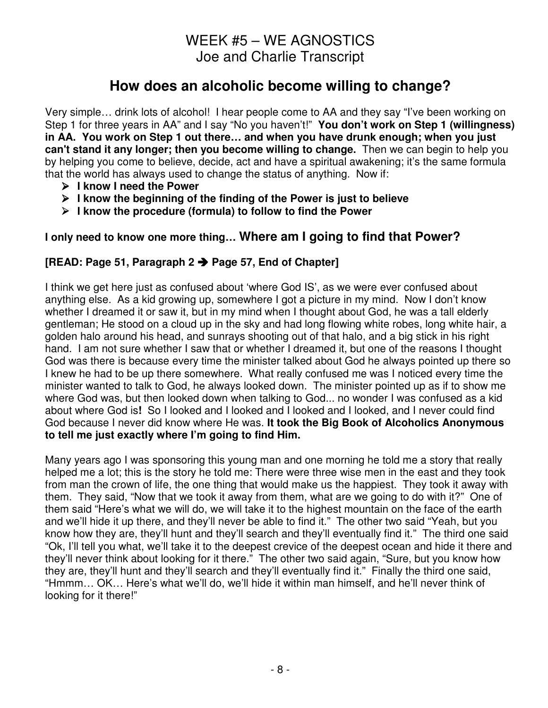## **How does an alcoholic become willing to change?**

Very simple… drink lots of alcohol! I hear people come to AA and they say "I've been working on Step 1 for three years in AA" and I say "No you haven't!" **You don't work on Step 1 (willingness) in AA. You work on Step 1 out there… and when you have drunk enough; when you just can't stand it any longer; then you become willing to change.** Then we can begin to help you by helping you come to believe, decide, act and have a spiritual awakening; it's the same formula that the world has always used to change the status of anything. Now if:

- - **I know I need the Power**
- - **I know the beginning of the finding of the Power is just to believe**
- - **I know the procedure (formula) to follow to find the Power**

### **I only need to know one more thing… Where am I going to find that Power?**

### **[READ: Page 51, Paragraph 2 Page 57, End of Chapter]**

I think we get here just as confused about 'where God IS', as we were ever confused about anything else. As a kid growing up, somewhere I got a picture in my mind. Now I don't know whether I dreamed it or saw it, but in my mind when I thought about God, he was a tall elderly gentleman; He stood on a cloud up in the sky and had long flowing white robes, long white hair, a golden halo around his head, and sunrays shooting out of that halo, and a big stick in his right hand. I am not sure whether I saw that or whether I dreamed it, but one of the reasons I thought God was there is because every time the minister talked about God he always pointed up there so I knew he had to be up there somewhere. What really confused me was I noticed every time the minister wanted to talk to God, he always looked down. The minister pointed up as if to show me where God was, but then looked down when talking to God... no wonder I was confused as a kid about where God is**!** So I looked and I looked and I looked and I looked, and I never could find God because I never did know where He was. **It took the Big Book of Alcoholics Anonymous to tell me just exactly where I'm going to find Him.** 

Many years ago I was sponsoring this young man and one morning he told me a story that really helped me a lot; this is the story he told me: There were three wise men in the east and they took from man the crown of life, the one thing that would make us the happiest. They took it away with them. They said, "Now that we took it away from them, what are we going to do with it?" One of them said "Here's what we will do, we will take it to the highest mountain on the face of the earth and we'll hide it up there, and they'll never be able to find it." The other two said "Yeah, but you know how they are, they'll hunt and they'll search and they'll eventually find it." The third one said "Ok, I'll tell you what, we'll take it to the deepest crevice of the deepest ocean and hide it there and they'll never think about looking for it there." The other two said again, "Sure, but you know how they are, they'll hunt and they'll search and they'll eventually find it." Finally the third one said, "Hmmm… OK… Here's what we'll do, we'll hide it within man himself, and he'll never think of looking for it there!"